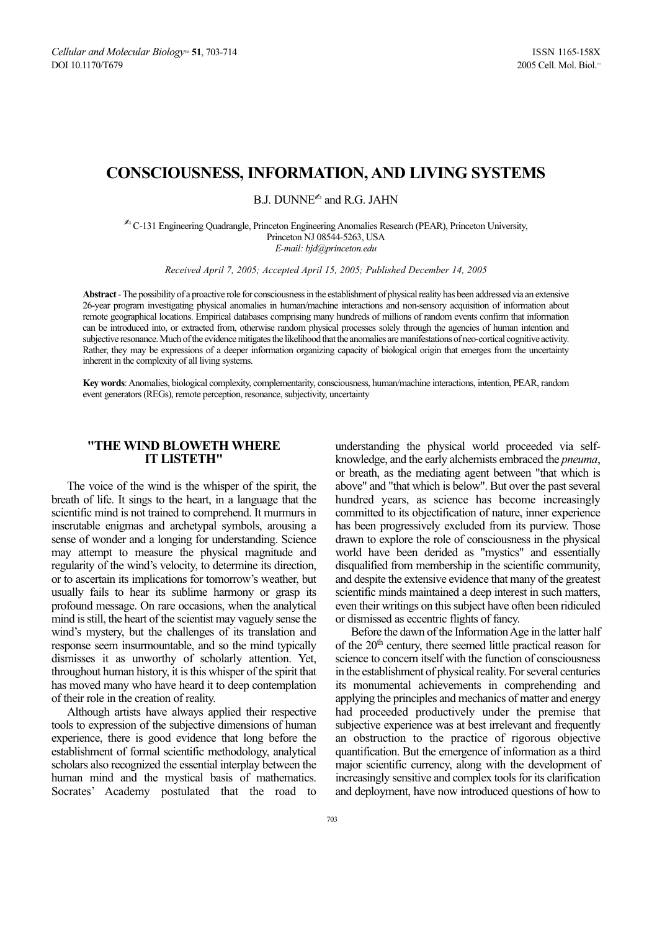# **CONSCIOUSNESS, INFORMATION, AND LIVING SYSTEMS**

B.J. DUNNE<sup>®</sup> and R.G. JAHN

✍ C-131 Engineering Quadrangle, Princeton Engineering Anomalies Research (PEAR), Princeton University, Princeton NJ 08544-5263, USA *E-mail: bjd@princeton.edu*

*Received April 7, 2005; Accepted April 15, 2005; Published December 14, 2005*

**Abstract** -The possibility of a proactive role for consciousness in the establishment of physical reality has been addressed via an extensive 26-year program investigating physical anomalies in human/machine interactions and non-sensory acquisition of information about remote geographical locations. Empirical databases comprising many hundreds of millions of random events confirm that information can be introduced into, or extracted from, otherwise random physical processes solely through the agencies of human intention and subjective resonance. Much of the evidence mitigates the likelihood that the anomalies are manifestations of neo-cortical cognitive activity. Rather, they may be expressions of a deeper information organizing capacity of biological origin that emerges from the uncertainty inherent in the complexity of all living systems.

**Key words**: Anomalies, biological complexity, complementarity, consciousness, human/machine interactions, intention, PEAR, random event generators (REGs), remote perception, resonance, subjectivity, uncertainty

## **"THE WIND BLOWETH WHERE IT LISTETH"**

The voice of the wind is the whisper of the spirit, the breath of life. It sings to the heart, in a language that the scientific mind is not trained to comprehend. It murmurs in inscrutable enigmas and archetypal symbols, arousing a sense of wonder and a longing for understanding. Science may attempt to measure the physical magnitude and regularity of the wind's velocity, to determine its direction, or to ascertain its implications for tomorrow's weather, but usually fails to hear its sublime harmony or grasp its profound message. On rare occasions, when the analytical mind is still, the heart of the scientist may vaguely sense the wind's mystery, but the challenges of its translation and response seem insurmountable, and so the mind typically dismisses it as unworthy of scholarly attention. Yet, throughout human history, it is this whisper of the spirit that has moved many who have heard it to deep contemplation of their role in the creation of reality.

Although artists have always applied their respective tools to expression of the subjective dimensions of human experience, there is good evidence that long before the establishment of formal scientific methodology, analytical scholars also recognized the essential interplay between the human mind and the mystical basis of mathematics. Socrates' Academy postulated that the road to

understanding the physical world proceeded via selfknowledge, and the early alchemists embraced the *pneuma*, or breath, as the mediating agent between "that which is above" and "that which is below". But over the past several hundred years, as science has become increasingly committed to its objectification of nature, inner experience has been progressively excluded from its purview. Those drawn to explore the role of consciousness in the physical world have been derided as "mystics" and essentially disqualified from membership in the scientific community, and despite the extensive evidence that many of the greatest scientific minds maintained a deep interest in such matters, even their writings on this subject have often been ridiculed or dismissed as eccentric flights of fancy.

Before the dawn of the Information Age in the latter half of the 20th century, there seemed little practical reason for science to concern itself with the function of consciousness in the establishment of physical reality. For several centuries its monumental achievements in comprehending and applying the principles and mechanics of matter and energy had proceeded productively under the premise that subjective experience was at best irrelevant and frequently an obstruction to the practice of rigorous objective quantification. But the emergence of information as a third major scientific currency, along with the development of increasingly sensitive and complex tools for its clarification and deployment, have now introduced questions of how to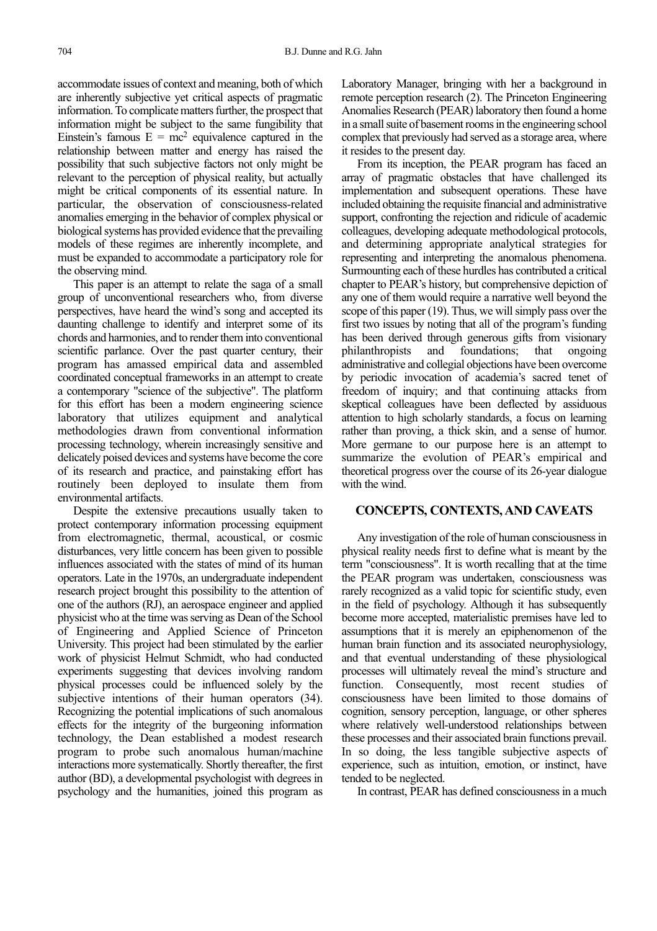accommodate issues of context and meaning, both of which are inherently subjective yet critical aspects of pragmatic information. To complicate matters further, the prospect that information might be subject to the same fungibility that Einstein's famous  $E = mc^2$  equivalence captured in the relationship between matter and energy has raised the possibility that such subjective factors not only might be relevant to the perception of physical reality, but actually might be critical components of its essential nature. In particular, the observation of consciousness-related anomalies emerging in the behavior of complex physical or biological systems has provided evidence that the prevailing models of these regimes are inherently incomplete, and must be expanded to accommodate a participatory role for the observing mind.

This paper is an attempt to relate the saga of a small group of unconventional researchers who, from diverse perspectives, have heard the wind's song and accepted its daunting challenge to identify and interpret some of its chords and harmonies, and to render them into conventional scientific parlance. Over the past quarter century, their program has amassed empirical data and assembled coordinated conceptual frameworks in an attempt to create a contemporary "science of the subjective". The platform for this effort has been a modern engineering science laboratory that utilizes equipment and analytical methodologies drawn from conventional information processing technology, wherein increasingly sensitive and delicately poised devices and systems have become the core of its research and practice, and painstaking effort has routinely been deployed to insulate them from environmental artifacts.

Despite the extensive precautions usually taken to protect contemporary information processing equipment from electromagnetic, thermal, acoustical, or cosmic disturbances, very little concern has been given to possible influences associated with the states of mind of its human operators. Late in the 1970s, an undergraduate independent research project brought this possibility to the attention of one of the authors (RJ), an aerospace engineer and applied physicist who at the time was serving as Dean of the School of Engineering and Applied Science of Princeton University. This project had been stimulated by the earlier work of physicist Helmut Schmidt, who had conducted experiments suggesting that devices involving random physical processes could be influenced solely by the subjective intentions of their human operators (34). Recognizing the potential implications of such anomalous effects for the integrity of the burgeoning information technology, the Dean established a modest research program to probe such anomalous human/machine interactions more systematically. Shortly thereafter, the first author (BD), a developmental psychologist with degrees in psychology and the humanities, joined this program as

Laboratory Manager, bringing with her a background in remote perception research (2). The Princeton Engineering Anomalies Research (PEAR) laboratory then found a home in a small suite of basement rooms in the engineering school complex that previously had served as a storage area, where it resides to the present day.

From its inception, the PEAR program has faced an array of pragmatic obstacles that have challenged its implementation and subsequent operations. These have included obtaining the requisite financial and administrative support, confronting the rejection and ridicule of academic colleagues, developing adequate methodological protocols, and determining appropriate analytical strategies for representing and interpreting the anomalous phenomena. Surmounting each of these hurdles has contributed a critical chapter to PEAR's history, but comprehensive depiction of any one of them would require a narrative well beyond the scope of this paper (19). Thus, we will simply pass over the first two issues by noting that all of the program's funding has been derived through generous gifts from visionary philanthropists and foundations; that ongoing administrative and collegial objections have been overcome by periodic invocation of academia's sacred tenet of freedom of inquiry; and that continuing attacks from skeptical colleagues have been deflected by assiduous attention to high scholarly standards, a focus on learning rather than proving, a thick skin, and a sense of humor. More germane to our purpose here is an attempt to summarize the evolution of PEAR's empirical and theoretical progress over the course of its 26-year dialogue with the wind.

# **CONCEPTS, CONTEXTS, AND CAVEATS**

Any investigation of the role of human consciousness in physical reality needs first to define what is meant by the term "consciousness". It is worth recalling that at the time the PEAR program was undertaken, consciousness was rarely recognized as a valid topic for scientific study, even in the field of psychology. Although it has subsequently become more accepted, materialistic premises have led to assumptions that it is merely an epiphenomenon of the human brain function and its associated neurophysiology, and that eventual understanding of these physiological processes will ultimately reveal the mind's structure and function. Consequently, most recent studies of consciousness have been limited to those domains of cognition, sensory perception, language, or other spheres where relatively well-understood relationships between these processes and their associated brain functions prevail. In so doing, the less tangible subjective aspects of experience, such as intuition, emotion, or instinct, have tended to be neglected.

In contrast, PEAR has defined consciousness in a much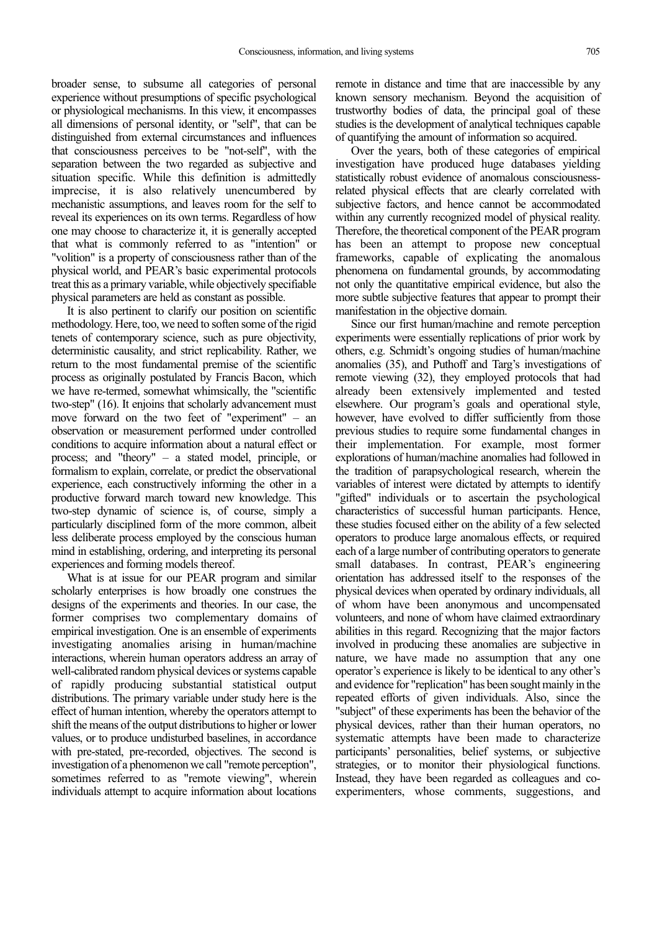broader sense, to subsume all categories of personal experience without presumptions of specific psychological or physiological mechanisms. In this view, it encompasses all dimensions of personal identity, or "self", that can be distinguished from external circumstances and influences that consciousness perceives to be "not-self", with the separation between the two regarded as subjective and situation specific. While this definition is admittedly imprecise, it is also relatively unencumbered by mechanistic assumptions, and leaves room for the self to reveal its experiences on its own terms. Regardless of how one may choose to characterize it, it is generally accepted that what is commonly referred to as "intention" or "volition" is a property of consciousness rather than of the physical world, and PEAR's basic experimental protocols treat this as a primary variable, while objectively specifiable physical parameters are held as constant as possible.

It is also pertinent to clarify our position on scientific methodology. Here, too, we need to soften some of the rigid tenets of contemporary science, such as pure objectivity, deterministic causality, and strict replicability. Rather, we return to the most fundamental premise of the scientific process as originally postulated by Francis Bacon, which we have re-termed, somewhat whimsically, the "scientific two-step" (16). It enjoins that scholarly advancement must move forward on the two feet of "experiment" – an observation or measurement performed under controlled conditions to acquire information about a natural effect or process; and "theory" – a stated model, principle, or formalism to explain, correlate, or predict the observational experience, each constructively informing the other in a productive forward march toward new knowledge. This two-step dynamic of science is, of course, simply a particularly disciplined form of the more common, albeit less deliberate process employed by the conscious human mind in establishing, ordering, and interpreting its personal experiences and forming models thereof.

What is at issue for our PEAR program and similar scholarly enterprises is how broadly one construes the designs of the experiments and theories. In our case, the former comprises two complementary domains of empirical investigation. One is an ensemble of experiments investigating anomalies arising in human/machine interactions, wherein human operators address an array of well-calibrated random physical devices or systems capable of rapidly producing substantial statistical output distributions. The primary variable under study here is the effect of human intention, whereby the operators attempt to shift the means of the output distributions to higher or lower values, or to produce undisturbed baselines, in accordance with pre-stated, pre-recorded, objectives. The second is investigation of a phenomenon we call "remote perception", sometimes referred to as "remote viewing", wherein individuals attempt to acquire information about locations

remote in distance and time that are inaccessible by any known sensory mechanism. Beyond the acquisition of trustworthy bodies of data, the principal goal of these studies is the development of analytical techniques capable of quantifying the amount of information so acquired.

Over the years, both of these categories of empirical investigation have produced huge databases yielding statistically robust evidence of anomalous consciousnessrelated physical effects that are clearly correlated with subjective factors, and hence cannot be accommodated within any currently recognized model of physical reality. Therefore, the theoretical component of the PEAR program has been an attempt to propose new conceptual frameworks, capable of explicating the anomalous phenomena on fundamental grounds, by accommodating not only the quantitative empirical evidence, but also the more subtle subjective features that appear to prompt their manifestation in the objective domain.

Since our first human/machine and remote perception experiments were essentially replications of prior work by others, e.g. Schmidt's ongoing studies of human/machine anomalies (35), and Puthoff and Targ's investigations of remote viewing (32), they employed protocols that had already been extensively implemented and tested elsewhere. Our program's goals and operational style, however, have evolved to differ sufficiently from those previous studies to require some fundamental changes in their implementation. For example, most former explorations of human/machine anomalies had followed in the tradition of parapsychological research, wherein the variables of interest were dictated by attempts to identify "gifted" individuals or to ascertain the psychological characteristics of successful human participants. Hence, these studies focused either on the ability of a few selected operators to produce large anomalous effects, or required each of a large number of contributing operators to generate small databases. In contrast, PEAR's engineering orientation has addressed itself to the responses of the physical devices when operated by ordinary individuals, all of whom have been anonymous and uncompensated volunteers, and none of whom have claimed extraordinary abilities in this regard. Recognizing that the major factors involved in producing these anomalies are subjective in nature, we have made no assumption that any one operator's experience is likely to be identical to any other's and evidence for "replication" has been sought mainly in the repeated efforts of given individuals. Also, since the "subject" of these experiments has been the behavior of the physical devices, rather than their human operators, no systematic attempts have been made to characterize participants' personalities, belief systems, or subjective strategies, or to monitor their physiological functions. Instead, they have been regarded as colleagues and coexperimenters, whose comments, suggestions, and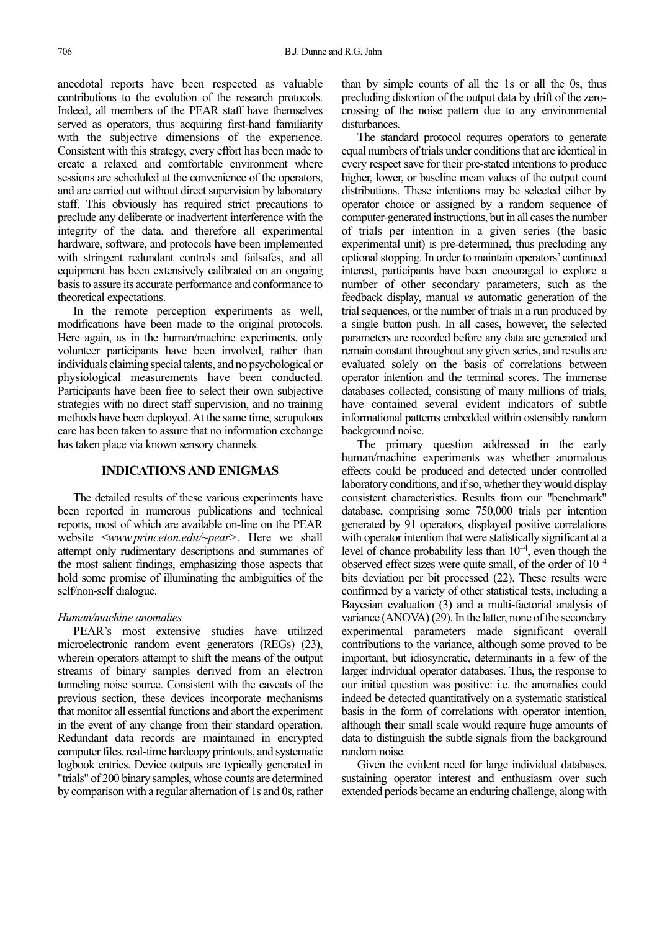anecdotal reports have been respected as valuable contributions to the evolution of the research protocols. Indeed, all members of the PEAR staff have themselves served as operators, thus acquiring first-hand familiarity with the subjective dimensions of the experience. Consistent with this strategy, every effort has been made to create a relaxed and comfortable environment where sessions are scheduled at the convenience of the operators, and are carried out without direct supervision by laboratory staff. This obviously has required strict precautions to preclude any deliberate or inadvertent interference with the integrity of the data, and therefore all experimental hardware, software, and protocols have been implemented with stringent redundant controls and failsafes, and all equipment has been extensively calibrated on an ongoing basis to assure its accurate performance and conformance to theoretical expectations.

In the remote perception experiments as well, modifications have been made to the original protocols. Here again, as in the human/machine experiments, only volunteer participants have been involved, rather than individuals claiming special talents, and no psychological or physiological measurements have been conducted. Participants have been free to select their own subjective strategies with no direct staff supervision, and no training methods have been deployed. At the same time, scrupulous care has been taken to assure that no information exchange has taken place via known sensory channels.

### **INDICATIONS AND ENIGMAS**

The detailed results of these various experiments have been reported in numerous publications and technical reports, most of which are available on-line on the PEAR website <*www.princeton.edu/~pear>.* Here we shall attempt only rudimentary descriptions and summaries of the most salient findings, emphasizing those aspects that hold some promise of illuminating the ambiguities of the self/non-self dialogue.

#### *Human/machine anomalies*

PEAR's most extensive studies have utilized microelectronic random event generators (REGs) (23), wherein operators attempt to shift the means of the output streams of binary samples derived from an electron tunneling noise source. Consistent with the caveats of the previous section, these devices incorporate mechanisms that monitor all essential functions and abort the experiment in the event of any change from their standard operation. Redundant data records are maintained in encrypted computer files, real-time hardcopy printouts, and systematic logbook entries. Device outputs are typically generated in "trials" of 200 binary samples, whose counts are determined by comparison with a regular alternation of 1s and 0s, rather than by simple counts of all the 1s or all the 0s, thus precluding distortion of the output data by drift of the zerocrossing of the noise pattern due to any environmental disturbances.

The standard protocol requires operators to generate equal numbers of trials under conditions that are identical in every respect save for their pre-stated intentions to produce higher, lower, or baseline mean values of the output count distributions. These intentions may be selected either by operator choice or assigned by a random sequence of computer-generated instructions, but in all cases the number of trials per intention in a given series (the basic experimental unit) is pre-determined, thus precluding any optional stopping. In order to maintain operators'continued interest, participants have been encouraged to explore a number of other secondary parameters, such as the feedback display, manual *vs* automatic generation of the trial sequences, or the number of trials in a run produced by a single button push. In all cases, however, the selected parameters are recorded before any data are generated and remain constant throughout any given series, and results are evaluated solely on the basis of correlations between operator intention and the terminal scores. The immense databases collected, consisting of many millions of trials, have contained several evident indicators of subtle informational patterns embedded within ostensibly random background noise.

The primary question addressed in the early human/machine experiments was whether anomalous effects could be produced and detected under controlled laboratory conditions, and if so, whether they would display consistent characteristics. Results from our "benchmark" database, comprising some 750,000 trials per intention generated by 91 operators, displayed positive correlations with operator intention that were statistically significant at a level of chance probability less than  $10^{-4}$ , even though the observed effect sizes were quite small, of the order of  $10^{-4}$ bits deviation per bit processed (22). These results were confirmed by a variety of other statistical tests, including a Bayesian evaluation (3) and a multi-factorial analysis of variance (ANOVA) (29). In the latter, none of the secondary experimental parameters made significant overall contributions to the variance, although some proved to be important, but idiosyncratic, determinants in a few of the larger individual operator databases. Thus, the response to our initial question was positive: i.e. the anomalies could indeed be detected quantitatively on a systematic statistical basis in the form of correlations with operator intention, although their small scale would require huge amounts of data to distinguish the subtle signals from the background random noise.

Given the evident need for large individual databases, sustaining operator interest and enthusiasm over such extended periods became an enduring challenge, along with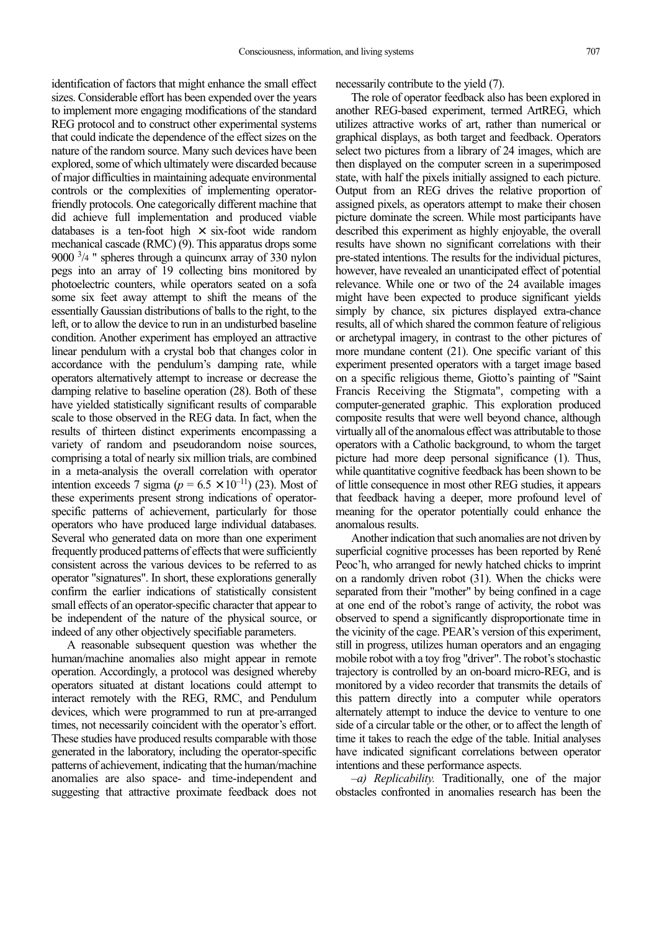identification of factors that might enhance the small effect sizes. Considerable effort has been expended over the years to implement more engaging modifications of the standard REG protocol and to construct other experimental systems that could indicate the dependence of the effect sizes on the nature of the random source. Many such devices have been explored, some of which ultimately were discarded because of major difficulties in maintaining adequate environmental controls or the complexities of implementing operatorfriendly protocols. One categorically different machine that did achieve full implementation and produced viable databases is a ten-foot high  $\times$  six-foot wide random mechanical cascade (RMC) (9). This apparatus drops some 9000 <sup>3</sup> /4 " spheres through a quincunx array of 330 nylon pegs into an array of 19 collecting bins monitored by photoelectric counters, while operators seated on a sofa some six feet away attempt to shift the means of the essentially Gaussian distributions of balls to the right, to the left, or to allow the device to run in an undisturbed baseline condition. Another experiment has employed an attractive linear pendulum with a crystal bob that changes color in accordance with the pendulum's damping rate, while operators alternatively attempt to increase or decrease the damping relative to baseline operation (28). Both of these have yielded statistically significant results of comparable scale to those observed in the REG data. In fact, when the results of thirteen distinct experiments encompassing a variety of random and pseudorandom noise sources, comprising a total of nearly six million trials, are combined in a meta-analysis the overall correlation with operator intention exceeds 7 sigma ( $p = 6.5 \times 10^{-11}$ ) (23). Most of these experiments present strong indications of operatorspecific patterns of achievement, particularly for those operators who have produced large individual databases. Several who generated data on more than one experiment frequently produced patterns of effects that were sufficiently consistent across the various devices to be referred to as operator "signatures". In short, these explorations generally confirm the earlier indications of statistically consistent small effects of an operator-specific character that appear to be independent of the nature of the physical source, or indeed of any other objectively specifiable parameters.

A reasonable subsequent question was whether the human/machine anomalies also might appear in remote operation. Accordingly, a protocol was designed whereby operators situated at distant locations could attempt to interact remotely with the REG, RMC, and Pendulum devices, which were programmed to run at pre-arranged times, not necessarily coincident with the operator's effort. These studies have produced results comparable with those generated in the laboratory, including the operator-specific patterns of achievement, indicating that the human/machine anomalies are also space- and time-independent and suggesting that attractive proximate feedback does not necessarily contribute to the yield (7).

The role of operator feedback also has been explored in another REG-based experiment, termed ArtREG, which utilizes attractive works of art, rather than numerical or graphical displays, as both target and feedback. Operators select two pictures from a library of 24 images, which are then displayed on the computer screen in a superimposed state, with half the pixels initially assigned to each picture. Output from an REG drives the relative proportion of assigned pixels, as operators attempt to make their chosen picture dominate the screen. While most participants have described this experiment as highly enjoyable, the overall results have shown no significant correlations with their pre-stated intentions. The results for the individual pictures, however, have revealed an unanticipated effect of potential relevance. While one or two of the 24 available images might have been expected to produce significant yields simply by chance, six pictures displayed extra-chance results, all of which shared the common feature of religious or archetypal imagery, in contrast to the other pictures of more mundane content (21). One specific variant of this experiment presented operators with a target image based on a specific religious theme, Giotto's painting of "Saint Francis Receiving the Stigmata", competing with a computer-generated graphic. This exploration produced composite results that were well beyond chance, although virtually all of the anomalous effect was attributable to those operators with a Catholic background, to whom the target picture had more deep personal significance (1). Thus, while quantitative cognitive feedback has been shown to be of little consequence in most other REG studies, it appears that feedback having a deeper, more profound level of meaning for the operator potentially could enhance the anomalous results.

Another indication that such anomalies are not driven by superficial cognitive processes has been reported by René Peoc'h, who arranged for newly hatched chicks to imprint on a randomly driven robot (31). When the chicks were separated from their "mother" by being confined in a cage at one end of the robot's range of activity, the robot was observed to spend a significantly disproportionate time in the vicinity of the cage. PEAR's version of this experiment, still in progress, utilizes human operators and an engaging mobile robot with a toy frog "driver". The robot's stochastic trajectory is controlled by an on-board micro-REG, and is monitored by a video recorder that transmits the details of this pattern directly into a computer while operators alternately attempt to induce the device to venture to one side of a circular table or the other, or to affect the length of time it takes to reach the edge of the table. Initial analyses have indicated significant correlations between operator intentions and these performance aspects.

*–a) Replicability.* Traditionally, one of the major obstacles confronted in anomalies research has been the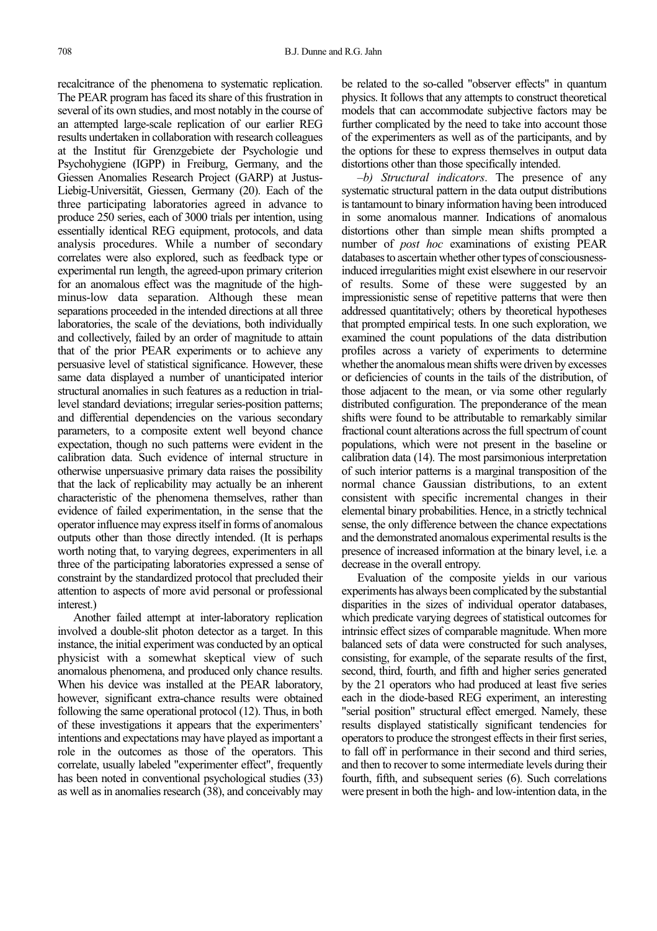recalcitrance of the phenomena to systematic replication. The PEAR program has faced its share of this frustration in several of its own studies, and most notably in the course of an attempted large-scale replication of our earlier REG results undertaken in collaboration with research colleagues at the Institut für Grenzgebiete der Psychologie und Psychohygiene (IGPP) in Freiburg, Germany, and the Giessen Anomalies Research Project (GARP) at Justus-Liebig-Universität, Giessen, Germany (20). Each of the three participating laboratories agreed in advance to produce 250 series, each of 3000 trials per intention, using essentially identical REG equipment, protocols, and data analysis procedures. While a number of secondary correlates were also explored, such as feedback type or experimental run length, the agreed-upon primary criterion for an anomalous effect was the magnitude of the highminus-low data separation. Although these mean separations proceeded in the intended directions at all three laboratories, the scale of the deviations, both individually and collectively, failed by an order of magnitude to attain that of the prior PEAR experiments or to achieve any persuasive level of statistical significance. However, these same data displayed a number of unanticipated interior structural anomalies in such features as a reduction in triallevel standard deviations; irregular series-position patterns; and differential dependencies on the various secondary parameters, to a composite extent well beyond chance expectation, though no such patterns were evident in the calibration data. Such evidence of internal structure in otherwise unpersuasive primary data raises the possibility that the lack of replicability may actually be an inherent characteristic of the phenomena themselves, rather than evidence of failed experimentation, in the sense that the operator influence may express itself in forms of anomalous outputs other than those directly intended. (It is perhaps worth noting that, to varying degrees, experimenters in all three of the participating laboratories expressed a sense of constraint by the standardized protocol that precluded their attention to aspects of more avid personal or professional interest.)

Another failed attempt at inter-laboratory replication involved a double-slit photon detector as a target. In this instance, the initial experiment was conducted by an optical physicist with a somewhat skeptical view of such anomalous phenomena, and produced only chance results. When his device was installed at the PEAR laboratory, however, significant extra-chance results were obtained following the same operational protocol (12). Thus, in both of these investigations it appears that the experimenters' intentions and expectations may have played as important a role in the outcomes as those of the operators. This correlate, usually labeled "experimenter effect", frequently has been noted in conventional psychological studies (33) as well as in anomalies research (38), and conceivably may be related to the so-called "observer effects" in quantum physics. It follows that any attempts to construct theoretical models that can accommodate subjective factors may be further complicated by the need to take into account those of the experimenters as well as of the participants, and by the options for these to express themselves in output data distortions other than those specifically intended.

*–b) Structural indicators*. The presence of any systematic structural pattern in the data output distributions is tantamount to binary information having been introduced in some anomalous manner. Indications of anomalous distortions other than simple mean shifts prompted a number of *post hoc* examinations of existing PEAR databases to ascertain whether other types of consciousnessinduced irregularities might exist elsewhere in our reservoir of results. Some of these were suggested by an impressionistic sense of repetitive patterns that were then addressed quantitatively; others by theoretical hypotheses that prompted empirical tests. In one such exploration, we examined the count populations of the data distribution profiles across a variety of experiments to determine whether the anomalous mean shifts were driven by excesses or deficiencies of counts in the tails of the distribution, of those adjacent to the mean, or via some other regularly distributed configuration. The preponderance of the mean shifts were found to be attributable to remarkably similar fractional count alterations across the full spectrum of count populations, which were not present in the baseline or calibration data (14). The most parsimonious interpretation of such interior patterns is a marginal transposition of the normal chance Gaussian distributions, to an extent consistent with specific incremental changes in their elemental binary probabilities. Hence, in a strictly technical sense, the only difference between the chance expectations and the demonstrated anomalous experimental results is the presence of increased information at the binary level, i.e*.* a decrease in the overall entropy.

Evaluation of the composite yields in our various experiments has always been complicated by the substantial disparities in the sizes of individual operator databases, which predicate varying degrees of statistical outcomes for intrinsic effect sizes of comparable magnitude. When more balanced sets of data were constructed for such analyses, consisting, for example, of the separate results of the first, second, third, fourth, and fifth and higher series generated by the 21 operators who had produced at least five series each in the diode-based REG experiment, an interesting "serial position" structural effect emerged. Namely, these results displayed statistically significant tendencies for operators to produce the strongest effects in their first series, to fall off in performance in their second and third series, and then to recover to some intermediate levels during their fourth, fifth, and subsequent series (6). Such correlations were present in both the high- and low-intention data, in the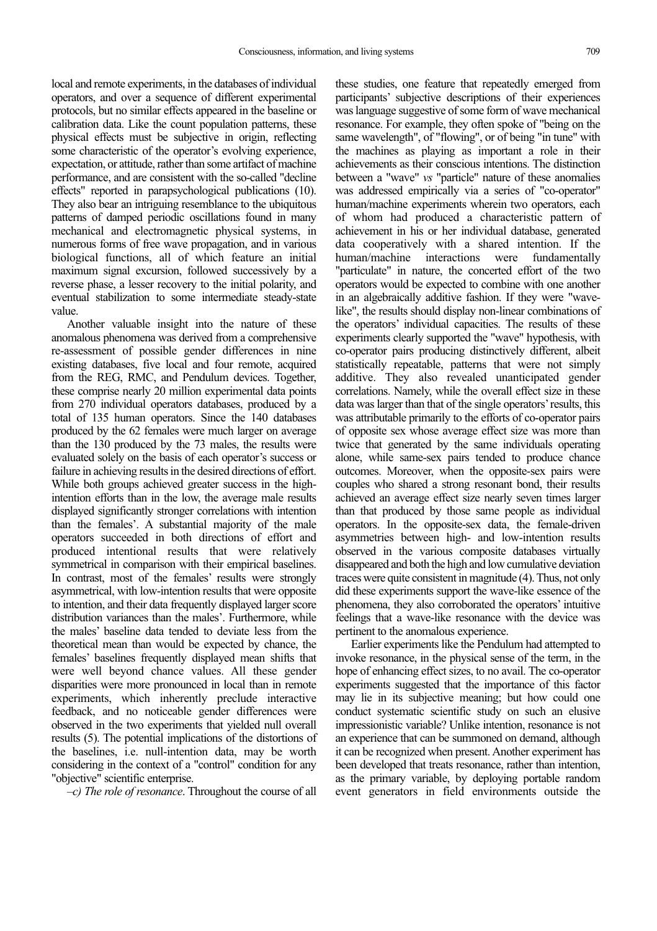local and remote experiments, in the databases of individual operators, and over a sequence of different experimental protocols, but no similar effects appeared in the baseline or calibration data. Like the count population patterns, these physical effects must be subjective in origin, reflecting some characteristic of the operator's evolving experience, expectation, or attitude, rather than some artifact of machine performance, and are consistent with the so-called "decline effects" reported in parapsychological publications (10). They also bear an intriguing resemblance to the ubiquitous patterns of damped periodic oscillations found in many mechanical and electromagnetic physical systems, in numerous forms of free wave propagation, and in various biological functions, all of which feature an initial maximum signal excursion, followed successively by a reverse phase, a lesser recovery to the initial polarity, and eventual stabilization to some intermediate steady-state value.

Another valuable insight into the nature of these anomalous phenomena was derived from a comprehensive re-assessment of possible gender differences in nine existing databases, five local and four remote, acquired from the REG, RMC, and Pendulum devices. Together, these comprise nearly 20 million experimental data points from 270 individual operators databases, produced by a total of 135 human operators. Since the 140 databases produced by the 62 females were much larger on average than the 130 produced by the 73 males, the results were evaluated solely on the basis of each operator's success or failure in achieving results in the desired directions of effort. While both groups achieved greater success in the highintention efforts than in the low, the average male results displayed significantly stronger correlations with intention than the females'. A substantial majority of the male operators succeeded in both directions of effort and produced intentional results that were relatively symmetrical in comparison with their empirical baselines. In contrast, most of the females' results were strongly asymmetrical, with low-intention results that were opposite to intention, and their data frequently displayed larger score distribution variances than the males'. Furthermore, while the males' baseline data tended to deviate less from the theoretical mean than would be expected by chance, the females' baselines frequently displayed mean shifts that were well beyond chance values. All these gender disparities were more pronounced in local than in remote experiments, which inherently preclude interactive feedback, and no noticeable gender differences were observed in the two experiments that yielded null overall results (5). The potential implications of the distortions of the baselines, i.e. null-intention data, may be worth considering in the context of a "control" condition for any "objective" scientific enterprise.

*–c) The role of resonance*. Throughout the course of all

these studies, one feature that repeatedly emerged from participants' subjective descriptions of their experiences was language suggestive of some form of wave mechanical resonance. For example, they often spoke of "being on the same wavelength", of "flowing", or of being "in tune" with the machines as playing as important a role in their achievements as their conscious intentions. The distinction between a "wave" *vs* "particle" nature of these anomalies was addressed empirically via a series of "co-operator" human/machine experiments wherein two operators, each of whom had produced a characteristic pattern of achievement in his or her individual database, generated data cooperatively with a shared intention. If the human/machine interactions were fundamentally "particulate" in nature, the concerted effort of the two operators would be expected to combine with one another in an algebraically additive fashion. If they were "wavelike", the results should display non-linear combinations of the operators' individual capacities. The results of these experiments clearly supported the "wave" hypothesis, with co-operator pairs producing distinctively different, albeit statistically repeatable, patterns that were not simply additive. They also revealed unanticipated gender correlations. Namely, while the overall effect size in these data was larger than that of the single operators'results, this was attributable primarily to the efforts of co-operator pairs of opposite sex whose average effect size was more than twice that generated by the same individuals operating alone, while same-sex pairs tended to produce chance outcomes. Moreover, when the opposite-sex pairs were couples who shared a strong resonant bond, their results achieved an average effect size nearly seven times larger than that produced by those same people as individual operators. In the opposite-sex data, the female-driven asymmetries between high- and low-intention results observed in the various composite databases virtually disappeared and both the high and low cumulative deviation traces were quite consistent in magnitude (4). Thus, not only did these experiments support the wave-like essence of the phenomena, they also corroborated the operators' intuitive feelings that a wave-like resonance with the device was pertinent to the anomalous experience.

Earlier experiments like the Pendulum had attempted to invoke resonance, in the physical sense of the term, in the hope of enhancing effect sizes, to no avail. The co-operator experiments suggested that the importance of this factor may lie in its subjective meaning; but how could one conduct systematic scientific study on such an elusive impressionistic variable? Unlike intention, resonance is not an experience that can be summoned on demand, although it can be recognized when present. Another experiment has been developed that treats resonance, rather than intention, as the primary variable, by deploying portable random event generators in field environments outside the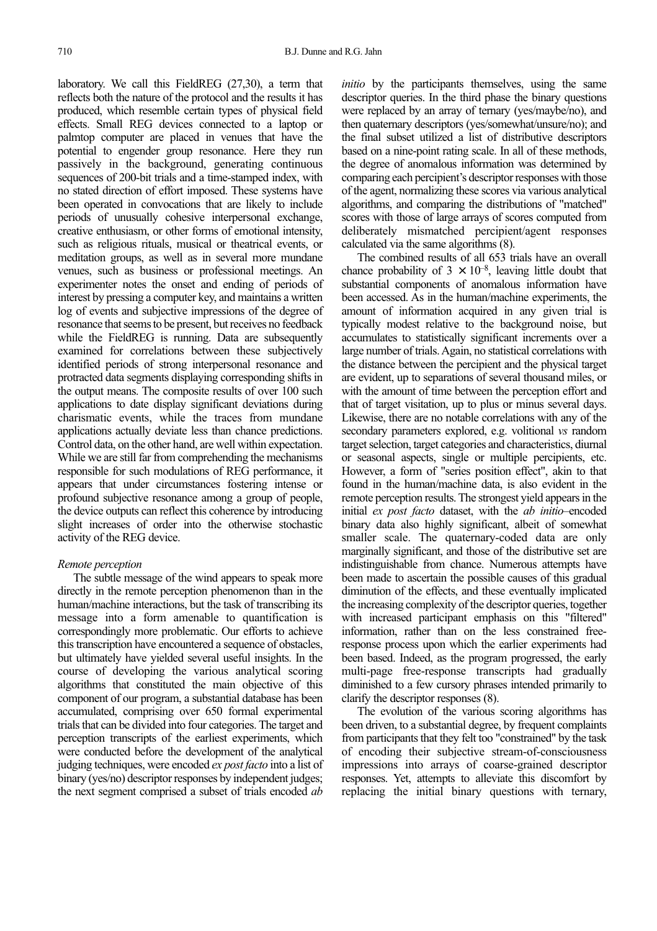laboratory. We call this FieldREG (27,30), a term that reflects both the nature of the protocol and the results it has produced, which resemble certain types of physical field effects. Small REG devices connected to a laptop or palmtop computer are placed in venues that have the potential to engender group resonance. Here they run passively in the background, generating continuous sequences of 200-bit trials and a time-stamped index, with no stated direction of effort imposed. These systems have been operated in convocations that are likely to include periods of unusually cohesive interpersonal exchange, creative enthusiasm, or other forms of emotional intensity, such as religious rituals, musical or theatrical events, or meditation groups, as well as in several more mundane venues, such as business or professional meetings. An experimenter notes the onset and ending of periods of interest by pressing a computer key, and maintains a written log of events and subjective impressions of the degree of resonance that seems to be present, but receives no feedback while the FieldREG is running. Data are subsequently examined for correlations between these subjectively identified periods of strong interpersonal resonance and protracted data segments displaying corresponding shifts in the output means. The composite results of over 100 such applications to date display significant deviations during charismatic events, while the traces from mundane applications actually deviate less than chance predictions. Control data, on the other hand, are well within expectation. While we are still far from comprehending the mechanisms responsible for such modulations of REG performance, it appears that under circumstances fostering intense or profound subjective resonance among a group of people, the device outputs can reflect this coherence by introducing slight increases of order into the otherwise stochastic activity of the REG device.

### *Remote perception*

The subtle message of the wind appears to speak more directly in the remote perception phenomenon than in the human/machine interactions, but the task of transcribing its message into a form amenable to quantification is correspondingly more problematic. Our efforts to achieve this transcription have encountered a sequence of obstacles, but ultimately have yielded several useful insights. In the course of developing the various analytical scoring algorithms that constituted the main objective of this component of our program, a substantial database has been accumulated, comprising over 650 formal experimental trials that can be divided into four categories. The target and perception transcripts of the earliest experiments, which were conducted before the development of the analytical judging techniques, were encoded *ex post facto* into a list of binary (yes/no) descriptor responses by independent judges; the next segment comprised a subset of trials encoded *ab*

*initio* by the participants themselves, using the same descriptor queries. In the third phase the binary questions were replaced by an array of ternary (yes/maybe/no), and then quaternary descriptors (yes/somewhat/unsure/no); and the final subset utilized a list of distributive descriptors based on a nine-point rating scale. In all of these methods, the degree of anomalous information was determined by comparing each percipient's descriptor responses with those of the agent, normalizing these scores via various analytical algorithms, and comparing the distributions of "matched" scores with those of large arrays of scores computed from deliberately mismatched percipient/agent responses calculated via the same algorithms (8).

The combined results of all 653 trials have an overall chance probability of  $3 \times 10^{-8}$ , leaving little doubt that substantial components of anomalous information have been accessed. As in the human/machine experiments, the amount of information acquired in any given trial is typically modest relative to the background noise, but accumulates to statistically significant increments over a large number of trials. Again, no statistical correlations with the distance between the percipient and the physical target are evident, up to separations of several thousand miles, or with the amount of time between the perception effort and that of target visitation, up to plus or minus several days. Likewise, there are no notable correlations with any of the secondary parameters explored, e.g. volitional *vs* random target selection, target categories and characteristics, diurnal or seasonal aspects, single or multiple percipients, etc. However, a form of "series position effect", akin to that found in the human/machine data, is also evident in the remote perception results. The strongest yield appears in the initial *ex post facto* dataset, with the *ab initio*–encoded binary data also highly significant, albeit of somewhat smaller scale. The quaternary-coded data are only marginally significant, and those of the distributive set are indistinguishable from chance. Numerous attempts have been made to ascertain the possible causes of this gradual diminution of the effects, and these eventually implicated the increasing complexity of the descriptor queries, together with increased participant emphasis on this "filtered" information, rather than on the less constrained freeresponse process upon which the earlier experiments had been based. Indeed, as the program progressed, the early multi-page free-response transcripts had gradually diminished to a few cursory phrases intended primarily to clarify the descriptor responses (8).

The evolution of the various scoring algorithms has been driven, to a substantial degree, by frequent complaints from participants that they felt too "constrained" by the task of encoding their subjective stream-of-consciousness impressions into arrays of coarse-grained descriptor responses. Yet, attempts to alleviate this discomfort by replacing the initial binary questions with ternary,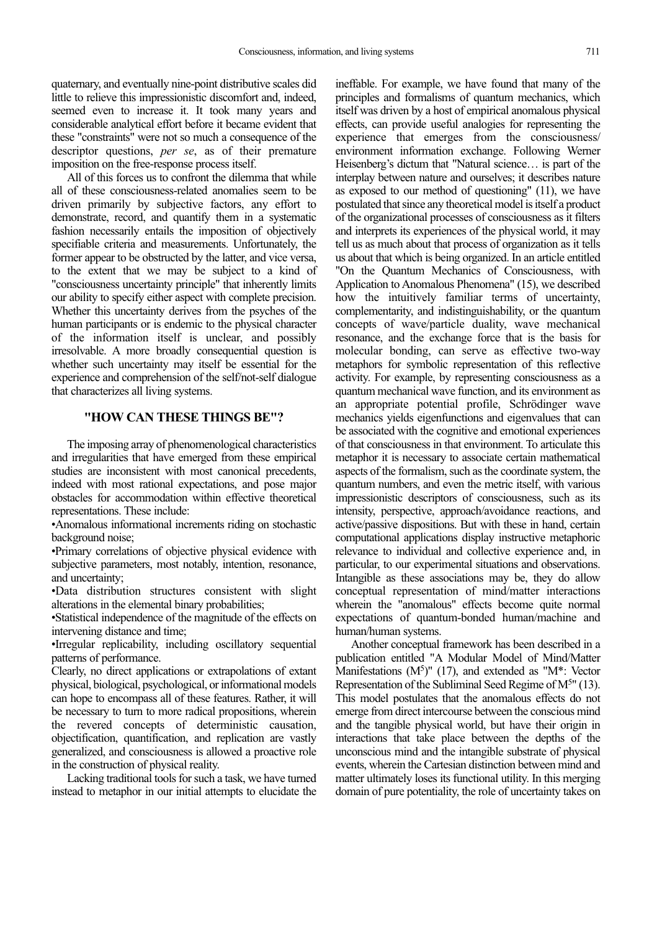quaternary, and eventually nine-point distributive scales did little to relieve this impressionistic discomfort and, indeed, seemed even to increase it. It took many years and considerable analytical effort before it became evident that these "constraints" were not so much a consequence of the descriptor questions, *per se*, as of their premature imposition on the free-response process itself.

All of this forces us to confront the dilemma that while all of these consciousness-related anomalies seem to be driven primarily by subjective factors, any effort to demonstrate, record, and quantify them in a systematic fashion necessarily entails the imposition of objectively specifiable criteria and measurements. Unfortunately, the former appear to be obstructed by the latter, and vice versa, to the extent that we may be subject to a kind of "consciousness uncertainty principle" that inherently limits our ability to specify either aspect with complete precision. Whether this uncertainty derives from the psyches of the human participants or is endemic to the physical character of the information itself is unclear, and possibly irresolvable. A more broadly consequential question is whether such uncertainty may itself be essential for the experience and comprehension of the self/not-self dialogue that characterizes all living systems.

# **"HOW CAN THESE THINGS BE"?**

The imposing array of phenomenological characteristics and irregularities that have emerged from these empirical studies are inconsistent with most canonical precedents, indeed with most rational expectations, and pose major obstacles for accommodation within effective theoretical representations. These include:

•Anomalous informational increments riding on stochastic background noise;

•Primary correlations of objective physical evidence with subjective parameters, most notably, intention, resonance, and uncertainty;

•Data distribution structures consistent with slight alterations in the elemental binary probabilities;

•Statistical independence of the magnitude of the effects on intervening distance and time;

•Irregular replicability, including oscillatory sequential patterns of performance.

Clearly, no direct applications or extrapolations of extant physical, biological, psychological, or informational models can hope to encompass all of these features. Rather, it will be necessary to turn to more radical propositions, wherein the revered concepts of deterministic causation, objectification, quantification, and replication are vastly generalized, and consciousness is allowed a proactive role in the construction of physical reality.

Lacking traditional tools for such a task, we have turned instead to metaphor in our initial attempts to elucidate the ineffable. For example, we have found that many of the principles and formalisms of quantum mechanics, which itself was driven by a host of empirical anomalous physical effects, can provide useful analogies for representing the experience that emerges from the consciousness/ environment information exchange. Following Werner Heisenberg's dictum that "Natural science… is part of the interplay between nature and ourselves; it describes nature as exposed to our method of questioning" (11), we have postulated that since any theoretical model is itself a product of the organizational processes of consciousness as it filters and interprets its experiences of the physical world, it may tell us as much about that process of organization as it tells us about that which is being organized. In an article entitled "On the Quantum Mechanics of Consciousness, with Application to Anomalous Phenomena" (15), we described how the intuitively familiar terms of uncertainty, complementarity, and indistinguishability, or the quantum concepts of wave/particle duality, wave mechanical resonance, and the exchange force that is the basis for molecular bonding, can serve as effective two-way metaphors for symbolic representation of this reflective activity. For example, by representing consciousness as a quantum mechanical wave function, and its environment as an appropriate potential profile, Schrödinger wave mechanics yields eigenfunctions and eigenvalues that can be associated with the cognitive and emotional experiences of that consciousness in that environment. To articulate this metaphor it is necessary to associate certain mathematical aspects of the formalism, such as the coordinate system, the quantum numbers, and even the metric itself, with various impressionistic descriptors of consciousness, such as its intensity, perspective, approach/avoidance reactions, and active/passive dispositions. But with these in hand, certain computational applications display instructive metaphoric relevance to individual and collective experience and, in particular, to our experimental situations and observations. Intangible as these associations may be, they do allow conceptual representation of mind/matter interactions wherein the "anomalous" effects become quite normal expectations of quantum-bonded human/machine and human/human systems.

Another conceptual framework has been described in a publication entitled "A Modular Model of Mind/Matter Manifestations  $(M<sup>5</sup>)''$  (17), and extended as "M\*: Vector Representation of the Subliminal Seed Regime of M<sup>5</sup>" (13). This model postulates that the anomalous effects do not emerge from direct intercourse between the conscious mind and the tangible physical world, but have their origin in interactions that take place between the depths of the unconscious mind and the intangible substrate of physical events, wherein the Cartesian distinction between mind and matter ultimately loses its functional utility. In this merging domain of pure potentiality, the role of uncertainty takes on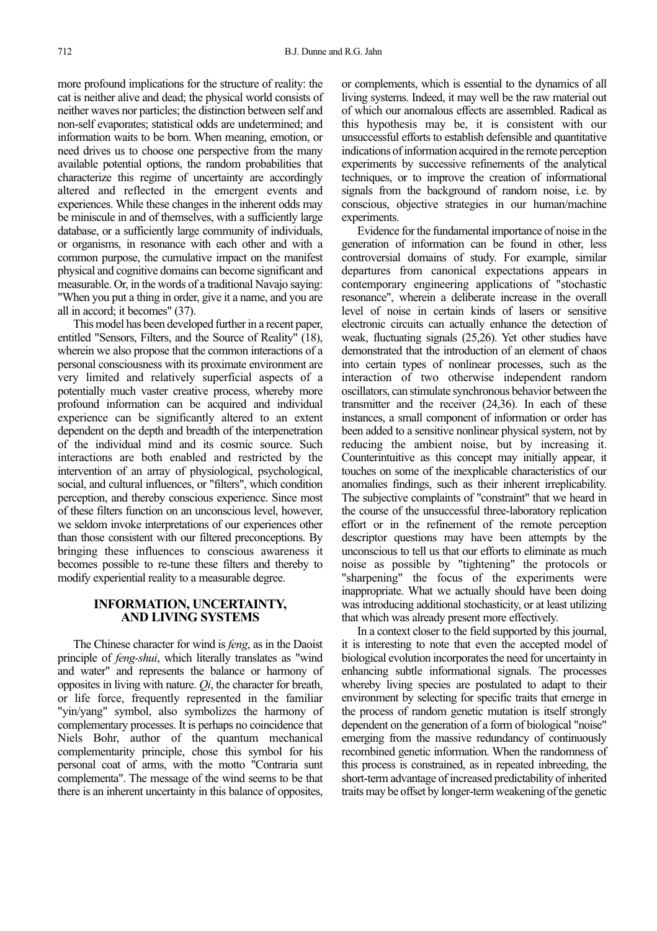more profound implications for the structure of reality: the cat is neither alive and dead; the physical world consists of neither waves nor particles; the distinction between self and non-self evaporates; statistical odds are undetermined; and information waits to be born. When meaning, emotion, or need drives us to choose one perspective from the many available potential options, the random probabilities that characterize this regime of uncertainty are accordingly altered and reflected in the emergent events and experiences. While these changes in the inherent odds may be miniscule in and of themselves, with a sufficiently large database, or a sufficiently large community of individuals, or organisms, in resonance with each other and with a common purpose, the cumulative impact on the manifest physical and cognitive domains can become significant and measurable. Or, in the words of a traditional Navajo saying: "When you put a thing in order, give it a name, and you are all in accord; it becomes" (37).

This model has been developed further in a recent paper, entitled "Sensors, Filters, and the Source of Reality" (18), wherein we also propose that the common interactions of a personal consciousness with its proximate environment are very limited and relatively superficial aspects of a potentially much vaster creative process, whereby more profound information can be acquired and individual experience can be significantly altered to an extent dependent on the depth and breadth of the interpenetration of the individual mind and its cosmic source. Such interactions are both enabled and restricted by the intervention of an array of physiological, psychological, social, and cultural influences, or "filters", which condition perception, and thereby conscious experience. Since most of these filters function on an unconscious level, however, we seldom invoke interpretations of our experiences other than those consistent with our filtered preconceptions. By bringing these influences to conscious awareness it becomes possible to re-tune these filters and thereby to modify experiential reality to a measurable degree.

# **INFORMATION, UNCERTAINTY, AND LIVING SYSTEMS**

The Chinese character for wind is *feng*, as in the Daoist principle of *feng-shui*, which literally translates as "wind and water" and represents the balance or harmony of opposites in living with nature. *Qi*, the character for breath, or life force, frequently represented in the familiar "yin/yang" symbol, also symbolizes the harmony of complementary processes. It is perhaps no coincidence that Niels Bohr, author of the quantum mechanical complementarity principle, chose this symbol for his personal coat of arms, with the motto "Contraria sunt complementa". The message of the wind seems to be that there is an inherent uncertainty in this balance of opposites,

or complements, which is essential to the dynamics of all living systems. Indeed, it may well be the raw material out of which our anomalous effects are assembled. Radical as this hypothesis may be, it is consistent with our unsuccessful efforts to establish defensible and quantitative indications of information acquired in the remote perception experiments by successive refinements of the analytical techniques, or to improve the creation of informational signals from the background of random noise, i.e. by conscious, objective strategies in our human/machine experiments.

Evidence for the fundamental importance of noise in the generation of information can be found in other, less controversial domains of study. For example, similar departures from canonical expectations appears in contemporary engineering applications of "stochastic resonance", wherein a deliberate increase in the overall level of noise in certain kinds of lasers or sensitive electronic circuits can actually enhance the detection of weak, fluctuating signals (25,26). Yet other studies have demonstrated that the introduction of an element of chaos into certain types of nonlinear processes, such as the interaction of two otherwise independent random oscillators, can stimulate synchronous behavior between the transmitter and the receiver (24,36). In each of these instances, a small component of information or order has been added to a sensitive nonlinear physical system, not by reducing the ambient noise, but by increasing it. Counterintuitive as this concept may initially appear, it touches on some of the inexplicable characteristics of our anomalies findings, such as their inherent irreplicability. The subjective complaints of "constraint" that we heard in the course of the unsuccessful three-laboratory replication effort or in the refinement of the remote perception descriptor questions may have been attempts by the unconscious to tell us that our efforts to eliminate as much noise as possible by "tightening" the protocols or "sharpening" the focus of the experiments were inappropriate. What we actually should have been doing was introducing additional stochasticity, or at least utilizing that which was already present more effectively.

In a context closer to the field supported by this journal, it is interesting to note that even the accepted model of biological evolution incorporates the need for uncertainty in enhancing subtle informational signals. The processes whereby living species are postulated to adapt to their environment by selecting for specific traits that emerge in the process of random genetic mutation is itself strongly dependent on the generation of a form of biological "noise" emerging from the massive redundancy of continuously recombined genetic information. When the randomness of this process is constrained, as in repeated inbreeding, the short-term advantage of increased predictability of inherited traits may be offset by longer-term weakening of the genetic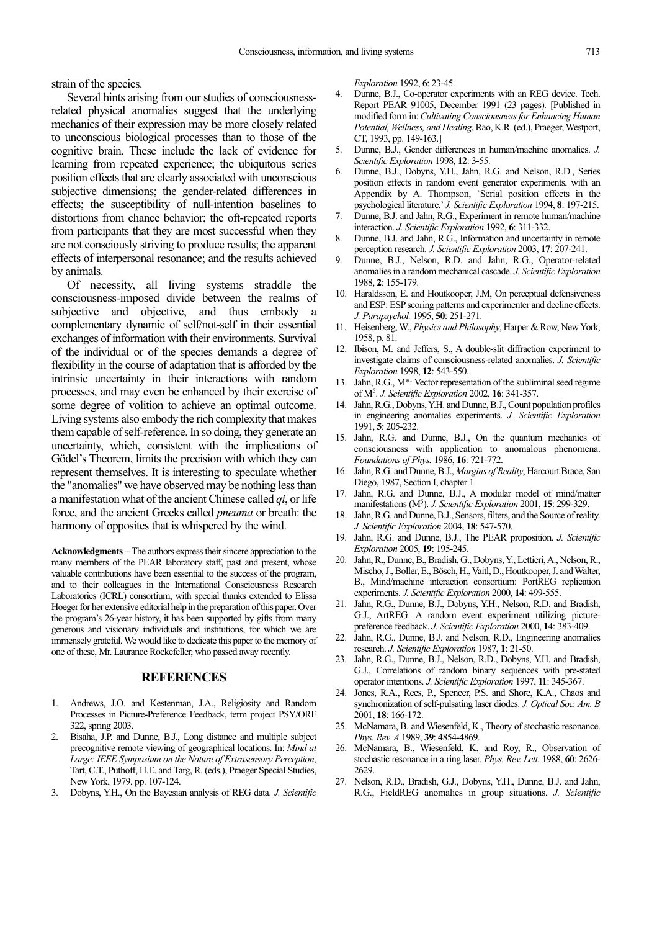strain of the species.

Several hints arising from our studies of consciousnessrelated physical anomalies suggest that the underlying mechanics of their expression may be more closely related to unconscious biological processes than to those of the cognitive brain. These include the lack of evidence for learning from repeated experience; the ubiquitous series position effects that are clearly associated with unconscious subjective dimensions; the gender-related differences in effects; the susceptibility of null-intention baselines to distortions from chance behavior; the oft-repeated reports from participants that they are most successful when they are not consciously striving to produce results; the apparent effects of interpersonal resonance; and the results achieved by animals.

Of necessity, all living systems straddle the consciousness-imposed divide between the realms of subjective and objective, and thus embody a complementary dynamic of self/not-self in their essential exchanges of information with their environments. Survival of the individual or of the species demands a degree of flexibility in the course of adaptation that is afforded by the intrinsic uncertainty in their interactions with random processes, and may even be enhanced by their exercise of some degree of volition to achieve an optimal outcome. Living systems also embody the rich complexity that makes them capable of self-reference. In so doing, they generate an uncertainty, which, consistent with the implications of Gödel's Theorem, limits the precision with which they can represent themselves. It is interesting to speculate whether the "anomalies" we have observed may be nothing less than a manifestation what of the ancient Chinese called *qi*, or life force, and the ancient Greeks called *pneuma* or breath: the harmony of opposites that is whispered by the wind.

**Acknowledgments** – The authors express their sincere appreciation to the many members of the PEAR laboratory staff, past and present, whose valuable contributions have been essential to the success of the program, and to their colleagues in the International Consciousness Research Laboratories (ICRL) consortium, with special thanks extended to Elissa Hoeger for her extensive editorial help in the preparation of this paper. Over the program's 26-year history, it has been supported by gifts from many generous and visionary individuals and institutions, for which we are immensely grateful. We would like to dedicate this paper to the memory of one of these, Mr. Laurance Rockefeller, who passed away recently.

### **REFERENCES**

- 1. Andrews, J.O. and Kestenman, J.A., Religiosity and Random Processes in Picture-Preference Feedback, term project PSY/ORF 322, spring 2003.
- 2. Bisaha, J.P. and Dunne, B.J., Long distance and multiple subject precognitive remote viewing of geographical locations. In: *Mind at Large: IEEE Symposium on the Nature of Extrasensory Perception*, Tart, C.T., Puthoff, H.E. and Targ, R. (eds.), Praeger Special Studies, New York, 1979, pp. 107-124.
- 3. Dobyns, Y.H., On the Bayesian analysis of REG data. *J. Scientific*

*Exploration* 1992, **6**: 23-45.

- 4. Dunne, B.J., Co-operator experiments with an REG device. Tech. Report PEAR 91005, December 1991 (23 pages). [Published in modified form in: *Cultivating Consciousness for Enhancing Human Potential, Wellness, and Healing*, Rao, K.R. (ed.), Praeger, Westport, CT, 1993, pp. 149-163.]
- 5. Dunne, B.J., Gender differences in human/machine anomalies. *J. Scientific Exploration* 1998, **12**: 3-55.
- 6. Dunne, B.J., Dobyns, Y.H., Jahn, R.G. and Nelson, R.D., Series position effects in random event generator experiments, with an Appendix by A. Thompson, 'Serial position effects in the psychological literature.' *J. Scientific Exploration* 1994, **8**: 197-215.
- Dunne, B.J. and Jahn, R.G., Experiment in remote human/machine interaction. *J. Scientific Exploration* 1992, **6**: 311-332.
- 8. Dunne, B.J. and Jahn, R.G., Information and uncertainty in remote perception research. *J. Scientific Exploration* 2003, **17**: 207-241.
- 9. Dunne, B.J., Nelson, R.D. and Jahn, R.G., Operator-related anomalies in a random mechanical cascade. *J. Scientific Exploration* 1988, **2**: 155-179.
- 10. Haraldsson, E. and Houtkooper, J.M, On perceptual defensiveness and ESP: ESP scoring patterns and experimenter and decline effects. *J. Parapsychol.* 1995, **50**: 251-271.
- 11. Heisenberg, W., *Physics and Philosophy*, Harper & Row, New York, 1958, p. 81.
- 12. Ibison, M. and Jeffers, S., A double-slit diffraction experiment to investigate claims of consciousness-related anomalies. *J. Scientific Exploration* 1998, **12**: 543-550.
- 13. Jahn, R.G., M\*: Vector representation of the subliminal seed regime of M5 . *J. Scientific Exploration* 2002, **16**: 341-357.
- 14. Jahn, R.G., Dobyns, Y.H. and Dunne, B.J., Count population profiles in engineering anomalies experiments. *J. Scientific Exploration* 1991, **5**: 205-232.
- 15. Jahn, R.G. and Dunne, B.J., On the quantum mechanics of consciousness with application to anomalous phenomena. *Foundations of Phys.* 1986, **16**: 721-772.
- 16. Jahn, R.G. and Dunne, B.J., *Margins of Reality*, Harcourt Brace, San Diego, 1987, Section I, chapter 1.
- 17. Jahn, R.G. and Dunne, B.J., A modular model of mind/matter manifestations (M<sup>5</sup>). *J. Scientific Exploration* 2001, **15**: 299-329.
- 18. Jahn, R.G. and Dunne, B.J., Sensors, filters, and the Source of reality. *J. Scientific Exploration* 2004, **18**: 547-570.
- 19. Jahn, R.G. and Dunne, B.J., The PEAR proposition. *J. Scientific Exploration* 2005, **19**: 195-245.
- 20. Jahn, R., Dunne, B., Bradish, G., Dobyns, Y., Lettieri, A., Nelson, R., Mischo, J., Boller, E., Bösch, H., Vaitl, D., Houtkooper, J. and Walter, B., Mind/machine interaction consortium: PortREG replication experiments. *J. Scientific Exploration* 2000, **14**: 499-555.
- 21. Jahn, R.G., Dunne, B.J., Dobyns, Y.H., Nelson, R.D. and Bradish, G.J., ArtREG: A random event experiment utilizing picturepreference feedback. *J. Scientific Exploration* 2000, **14**: 383-409.
- 22. Jahn, R.G., Dunne, B.J. and Nelson, R.D., Engineering anomalies research. *J. Scientific Exploration* 1987, **1**: 21-50.
- 23. Jahn, R.G., Dunne, B.J., Nelson, R.D., Dobyns, Y.H. and Bradish, G.J., Correlations of random binary sequences with pre-stated operator intentions. *J. Scientific Exploration* 1997, **11**: 345-367.
- 24. Jones, R.A., Rees, P., Spencer, P.S. and Shore, K.A., Chaos and synchronization of self-pulsating laser diodes. *J. Optical Soc. Am. B* 2001, **18**: 166-172.
- 25. McNamara, B. and Wiesenfeld, K., Theory of stochastic resonance. *Phys. Rev. A* 1989, **39**: 4854-4869.
- 26. McNamara, B., Wiesenfeld, K. and Roy, R., Observation of stochastic resonance in a ring laser. *Phys. Rev. Lett.* 1988, **60**: 2626- 2629.
- 27. Nelson, R.D., Bradish, G.J., Dobyns, Y.H., Dunne, B.J. and Jahn, R.G., FieldREG anomalies in group situations. *J. Scientific*